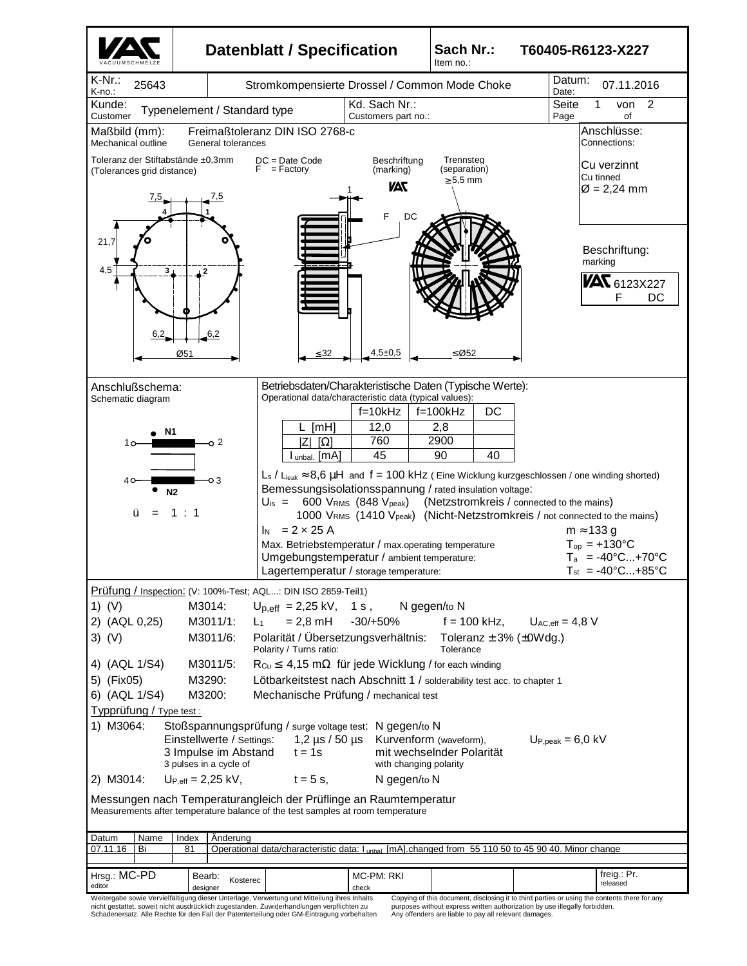

Schadenersatz. Alle Rechte für den Fall der Patenterteilung oder GM-Eintragung vorbehalten

Any offenders are liable to pay all relevant damages.